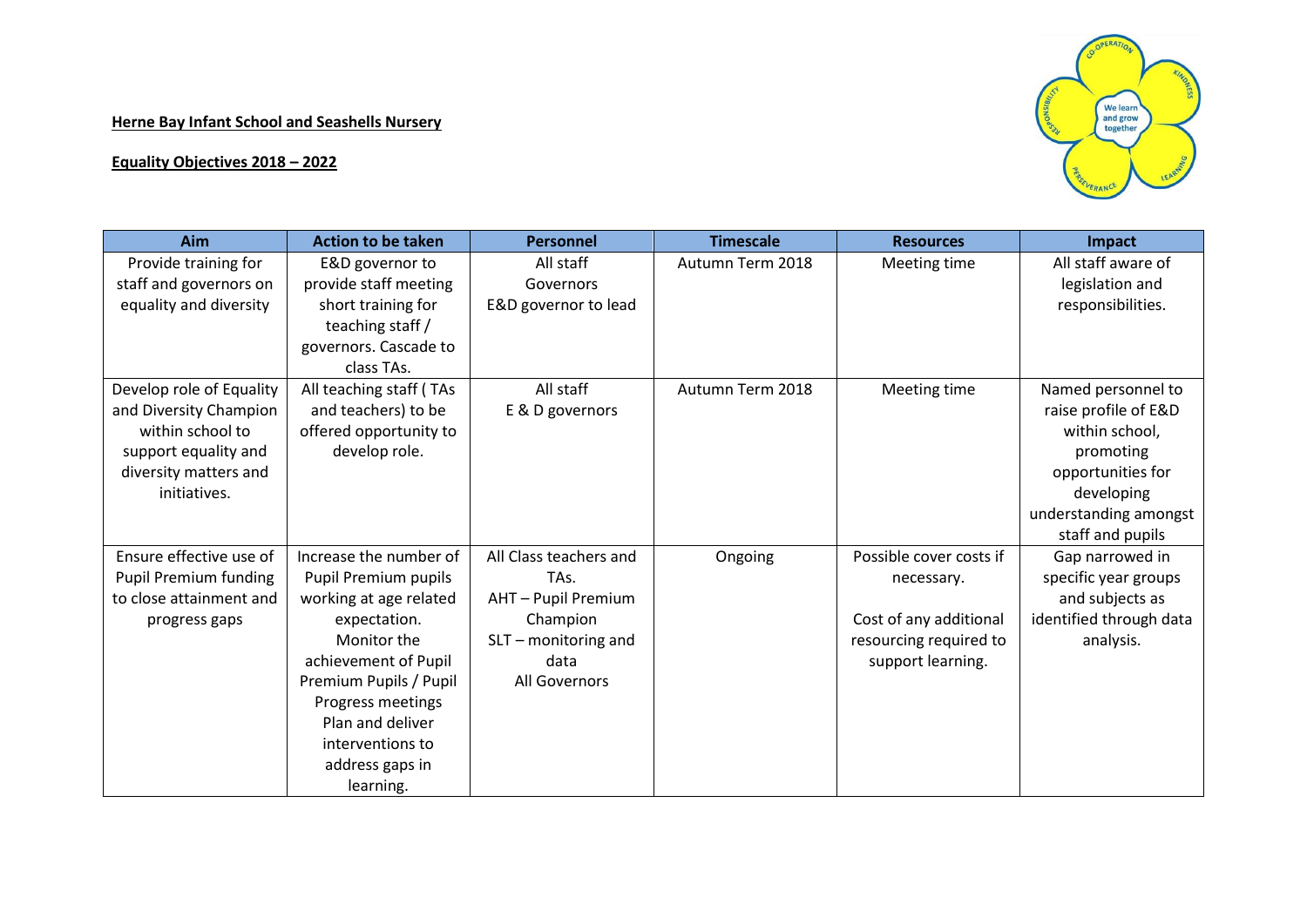## **Herne Bay Infant School and Seashells Nursery**

## **Equality Objectives 2018 – 2022**



| Aim                      | <b>Action to be taken</b> | <b>Personnel</b>       | <b>Timescale</b> | <b>Resources</b>        | Impact                  |
|--------------------------|---------------------------|------------------------|------------------|-------------------------|-------------------------|
| Provide training for     | E&D governor to           | All staff              | Autumn Term 2018 | Meeting time            | All staff aware of      |
| staff and governors on   | provide staff meeting     | Governors              |                  |                         | legislation and         |
| equality and diversity   | short training for        | E&D governor to lead   |                  |                         | responsibilities.       |
|                          | teaching staff /          |                        |                  |                         |                         |
|                          | governors. Cascade to     |                        |                  |                         |                         |
|                          | class TAs.                |                        |                  |                         |                         |
| Develop role of Equality | All teaching staff (TAs   | All staff              | Autumn Term 2018 | Meeting time            | Named personnel to      |
| and Diversity Champion   | and teachers) to be       | E & D governors        |                  |                         | raise profile of E&D    |
| within school to         | offered opportunity to    |                        |                  |                         | within school,          |
| support equality and     | develop role.             |                        |                  |                         | promoting               |
| diversity matters and    |                           |                        |                  |                         | opportunities for       |
| initiatives.             |                           |                        |                  |                         | developing              |
|                          |                           |                        |                  |                         | understanding amongst   |
|                          |                           |                        |                  |                         | staff and pupils        |
| Ensure effective use of  | Increase the number of    | All Class teachers and | Ongoing          | Possible cover costs if | Gap narrowed in         |
| Pupil Premium funding    | Pupil Premium pupils      | TAs.                   |                  | necessary.              | specific year groups    |
| to close attainment and  | working at age related    | AHT - Pupil Premium    |                  |                         | and subjects as         |
| progress gaps            | expectation.              | Champion               |                  | Cost of any additional  | identified through data |
|                          | Monitor the               | SLT - monitoring and   |                  | resourcing required to  | analysis.               |
|                          | achievement of Pupil      | data                   |                  | support learning.       |                         |
|                          | Premium Pupils / Pupil    | All Governors          |                  |                         |                         |
|                          | Progress meetings         |                        |                  |                         |                         |
|                          | Plan and deliver          |                        |                  |                         |                         |
|                          | interventions to          |                        |                  |                         |                         |
|                          | address gaps in           |                        |                  |                         |                         |
|                          | learning.                 |                        |                  |                         |                         |